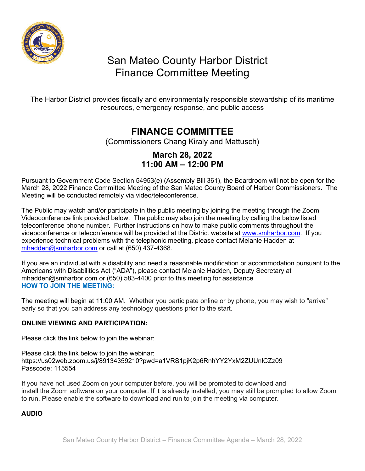

# San Mateo County Harbor District Finance Committee Meeting

The Harbor District provides fiscally and environmentally responsible stewardship of its maritime resources, emergency response, and public access

## **FINANCE COMMITTEE**

(Commissioners Chang Kiraly and Mattusch)

### **March 28, 2022 11:00 AM – 12:00 PM**

Pursuant to Government Code Section 54953(e) (Assembly Bill 361), the Boardroom will not be open for the March 28, 2022 Finance Committee Meeting of the San Mateo County Board of Harbor Commissioners. The Meeting will be conducted remotely via video/teleconference.

The Public may watch and/or participate in the public meeting by joining the meeting through the Zoom Videoconference link provided below. The public may also join the meeting by calling the below listed teleconference phone number. Further instructions on how to make public comments throughout the videoconference or teleconference will be provided at the District website at [www.smharbor.com.](http://www.smharbor.com/) If you experience technical problems with the telephonic meeting, please contact Melanie Hadden at [mhadden@smharbor.com](mailto:mhadden@smharbor.com) or call at (650) 437-4368.

If you are an individual with a disability and need a reasonable modification or accommodation pursuant to the Americans with Disabilities Act ("ADA"), please contact Melanie Hadden, Deputy Secretary at mhadden@smharbor.com or (650) 583-4400 prior to this meeting for assistance **HOW TO JOIN THE MEETING:**

The meeting will begin at 11:00 AM. Whether you participate online or by phone, you may wish to "arrive" early so that you can address any technology questions prior to the start.

#### **ONLINE VIEWING AND PARTICIPATION:**

Please click the link below to join the webinar:

Please click the link below to join the webinar: https://us02web.zoom.us/j/89134359210?pwd=a1VRS1pjK2p6RnhYY2YxM2ZUUnlCZz09 Passcode: 115554

If you have not used Zoom on your computer before, you will be prompted to download and install the Zoom software on your computer. If it is already installed, you may still be prompted to allow Zoom to run. Please enable the software to download and run to join the meeting via computer.

#### **AUDIO**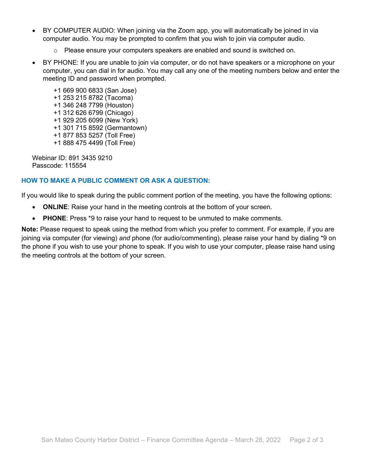- BY COMPUTER AUDIO: When joining via the Zoom app, you will automatically be joined in via computer audio. You may be prompted to confirm that you wish to join via computer audio.
	- $\circ$  Please ensure your computers speakers are enabled and sound is switched on.
- BY PHONE: If you are unable to join via computer, or do not have speakers or a microphone on your computer, you can dial in for audio. You may call any one of the meeting numbers below and enter the meeting ID and password when prompted.
	- +1 669 900 6833 (San Jose) +1 253 215 8782 (Tacoma) +1 346 248 7799 (Houston) +1 312 626 6799 (Chicago) +1 929 205 6099 (New York) +1 301 715 8592 (Germantown) +1 877 853 5257 (Toll Free) +1 888 475 4499 (Toll Free)

Webinar ID: 891 3435 9210 Passcode: 115554

#### **HOW TO MAKE A PUBLIC COMMENT OR ASK A QUESTION:**

If you would like to speak during the public comment portion of the meeting, you have the following options:

- **ONLINE:** Raise your hand in the meeting controls at the bottom of your screen.
- **PHONE**: Press \*9 to raise your hand to request to be unmuted to make comments.

**Note:** Please request to speak using the method from which you prefer to comment. For example, if you are joining via computer (for viewing) *and* phone (for audio/commenting), please raise your hand by dialing \*9 on the phone if you wish to use your phone to speak. If you wish to use your computer, please raise hand using the meeting controls at the bottom of your screen.